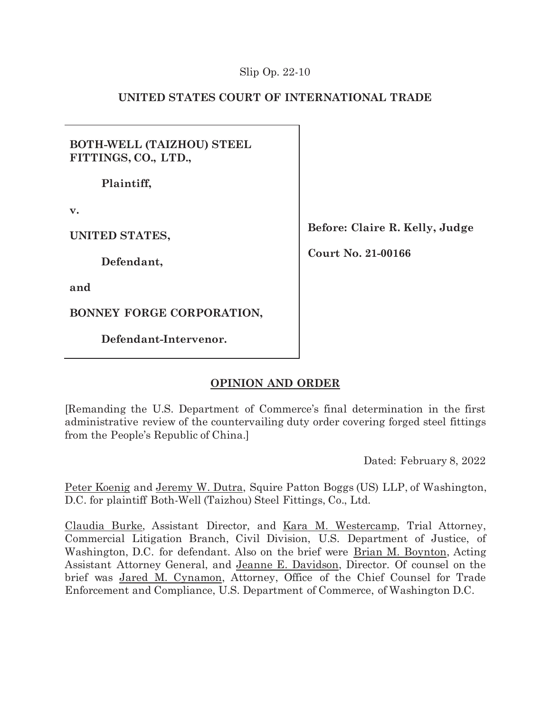## **UNITED STATES COURT OF INTERNATIONAL TRADE**

**BOTH-WELL (TAIZHOU) STEEL FITTINGS, CO., LTD.,** 

**Plaintiff,** 

**v.** 

**UNITED STATES,** 

**Defendant,** 

**and** 

**BONNEY FORGE CORPORATION,** 

**Defendant-Intervenor.** 

**Before: Claire R. Kelly, Judge** 

**Court No. 21-00166** 

# **OPINION AND ORDER**

[Remanding the U.S. Department of Commerce's final determination in the first administrative review of the countervailing duty order covering forged steel fittings from the People's Republic of China.]

Dated: February 8, 2022

Peter Koenig and Jeremy W. Dutra, Squire Patton Boggs (US) LLP, of Washington, D.C. for plaintiff Both-Well (Taizhou) Steel Fittings, Co., Ltd.

Claudia Burke, Assistant Director, and Kara M. Westercamp, Trial Attorney, Commercial Litigation Branch, Civil Division, U.S. Department of Justice, of Washington, D.C. for defendant. Also on the brief were Brian M. Boynton, Acting Assistant Attorney General, and Jeanne E. Davidson, Director. Of counsel on the brief was Jared M. Cynamon, Attorney, Office of the Chief Counsel for Trade Enforcement and Compliance, U.S. Department of Commerce, of Washington D.C.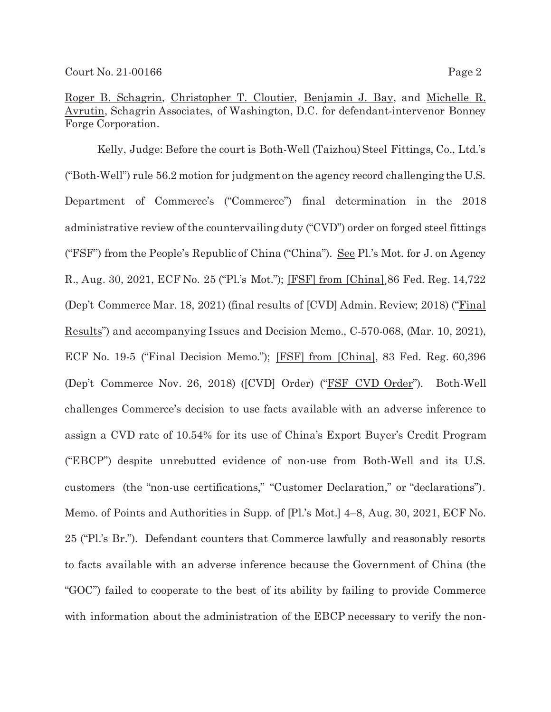Roger B. Schagrin, Christopher T. Cloutier, Benjamin J. Bay, and Michelle R. Avrutin, Schagrin Associates, of Washington, D.C. for defendant-intervenor Bonney Forge Corporation.

Kelly, Judge: Before the court is Both-Well (Taizhou) Steel Fittings, Co., Ltd.'s ("Both-Well") rule 56.2 motion for judgment on the agency record challenging the U.S. Department of Commerce's ("Commerce") final determination in the 2018 administrative review of the countervailing duty ("CVD") order on forged steel fittings ("FSF") from the People's Republic of China ("China"). See Pl.'s Mot. for J. on Agency R., Aug. 30, 2021, ECF No. 25 ("Pl.'s Mot."); [FSF] from [China]¸86 Fed. Reg. 14,722 (Dep't Commerce Mar. 18, 2021) (final results of [CVD] Admin. Review; 2018) ("Final Results") and accompanying Issues and Decision Memo., C-570-068, (Mar. 10, 2021), ECF No. 19-5 ("Final Decision Memo."); [FSF] from [China], 83 Fed. Reg. 60,396 (Dep't Commerce Nov. 26, 2018) ([CVD] Order) ("FSF CVD Order"). Both-Well challenges Commerce's decision to use facts available with an adverse inference to assign a CVD rate of 10.54% for its use of China's Export Buyer's Credit Program ("EBCP") despite unrebutted evidence of non-use from Both-Well and its U.S. customers (the "non-use certifications," "Customer Declaration," or "declarations"). Memo. of Points and Authorities in Supp. of [Pl.'s Mot.] 4–8, Aug. 30, 2021, ECF No. 25 ("Pl.'s Br."). Defendant counters that Commerce lawfully and reasonably resorts to facts available with an adverse inference because the Government of China (the "GOC") failed to cooperate to the best of its ability by failing to provide Commerce with information about the administration of the EBCP necessary to verify the non-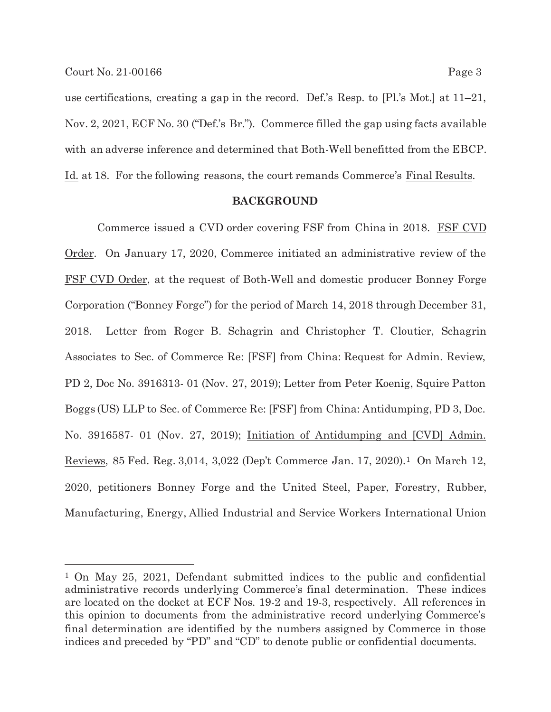use certifications, creating a gap in the record. Def.'s Resp. to [Pl.'s Mot.] at 11–21, Nov. 2, 2021, ECF No. 30 ("Def.'s Br."). Commerce filled the gap using facts available with an adverse inference and determined that Both-Well benefitted from the EBCP. Id. at 18. For the following reasons, the court remands Commerce's Final Results.

#### **BACKGROUND**

 Commerce issued a CVD order covering FSF from China in 2018. FSF CVD Order. On January 17, 2020, Commerce initiated an administrative review of the FSF CVD Order, at the request of Both-Well and domestic producer Bonney Forge Corporation ("Bonney Forge") for the period of March 14, 2018 through December 31, 2018. Letter from Roger B. Schagrin and Christopher T. Cloutier, Schagrin Associates to Sec. of Commerce Re: [FSF] from China: Request for Admin. Review, PD 2, Doc No. 3916313- 01 (Nov. 27, 2019); Letter from Peter Koenig, Squire Patton Boggs (US) LLP to Sec. of Commerce Re: [FSF] from China: Antidumping, PD 3, Doc. No. 3916587- 01 (Nov. 27, 2019); Initiation of Antidumping and [CVD] Admin. Reviews, 85 Fed. Reg. 3,014, 3,022 (Dep't Commerce Jan. 17, 2020).1 On March 12, 2020, petitioners Bonney Forge and the United Steel, Paper, Forestry, Rubber, Manufacturing, Energy, Allied Industrial and Service Workers International Union

<sup>1</sup> On May 25, 2021, Defendant submitted indices to the public and confidential administrative records underlying Commerce's final determination. These indices are located on the docket at ECF Nos. 19-2 and 19-3, respectively. All references in this opinion to documents from the administrative record underlying Commerce's final determination are identified by the numbers assigned by Commerce in those indices and preceded by "PD" and "CD" to denote public or confidential documents.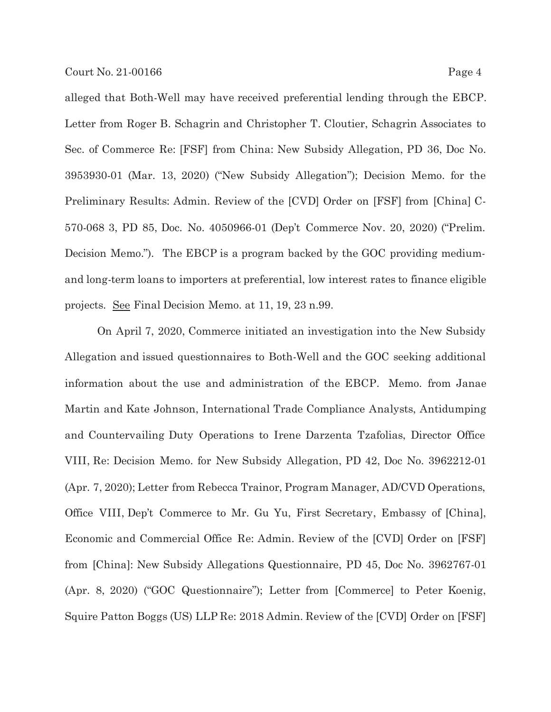alleged that Both-Well may have received preferential lending through the EBCP. Letter from Roger B. Schagrin and Christopher T. Cloutier, Schagrin Associates to Sec. of Commerce Re: [FSF] from China: New Subsidy Allegation, PD 36, Doc No. 3953930-01 (Mar. 13, 2020) ("New Subsidy Allegation"); Decision Memo. for the Preliminary Results: Admin. Review of the [CVD] Order on [FSF] from [China] C-570-068 3, PD 85, Doc. No. 4050966-01 (Dep't Commerce Nov. 20, 2020) ("Prelim. Decision Memo."). The EBCP is a program backed by the GOC providing mediumand long-term loans to importers at preferential, low interest rates to finance eligible projects. See Final Decision Memo. at 11, 19, 23 n.99.

On April 7, 2020, Commerce initiated an investigation into the New Subsidy Allegation and issued questionnaires to Both-Well and the GOC seeking additional information about the use and administration of the EBCP. Memo. from Janae Martin and Kate Johnson, International Trade Compliance Analysts, Antidumping and Countervailing Duty Operations to Irene Darzenta Tzafolias, Director Office VIII, Re: Decision Memo. for New Subsidy Allegation, PD 42, Doc No. 3962212-01 (Apr. 7, 2020); Letter from Rebecca Trainor, Program Manager, AD/CVD Operations, Office VIII, Dep't Commerce to Mr. Gu Yu, First Secretary, Embassy of [China], Economic and Commercial Office Re: Admin. Review of the [CVD] Order on [FSF] from [China]: New Subsidy Allegations Questionnaire, PD 45, Doc No. 3962767-01 (Apr. 8, 2020) ("GOC Questionnaire"); Letter from [Commerce] to Peter Koenig, Squire Patton Boggs (US) LLP Re: 2018 Admin. Review of the [CVD] Order on [FSF]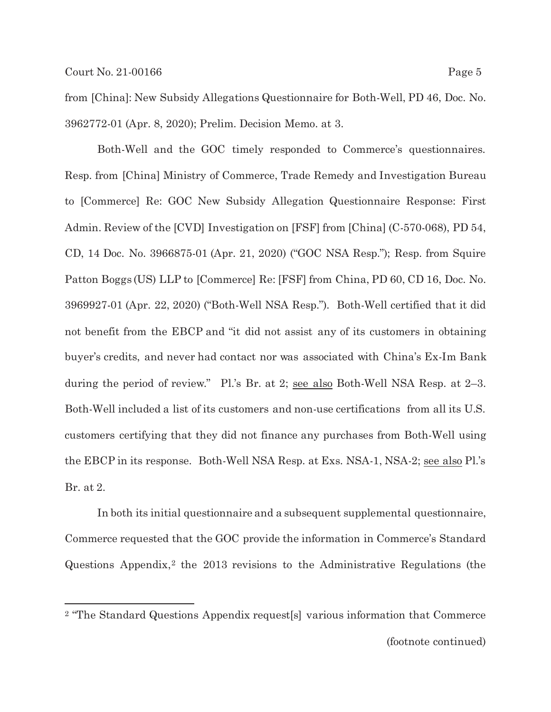from [China]: New Subsidy Allegations Questionnaire for Both-Well, PD 46, Doc. No. 3962772-01 (Apr. 8, 2020); Prelim. Decision Memo. at 3.

 Both-Well and the GOC timely responded to Commerce's questionnaires. Resp. from [China] Ministry of Commerce, Trade Remedy and Investigation Bureau to [Commerce] Re: GOC New Subsidy Allegation Questionnaire Response: First Admin. Review of the [CVD] Investigation on [FSF] from [China] (C-570-068), PD 54, CD, 14 Doc. No. 3966875-01 (Apr. 21, 2020) ("GOC NSA Resp."); Resp. from Squire Patton Boggs (US) LLP to [Commerce] Re: [FSF] from China, PD 60, CD 16, Doc. No. 3969927-01 (Apr. 22, 2020) ("Both-Well NSA Resp."). Both-Well certified that it did not benefit from the EBCP and "it did not assist any of its customers in obtaining buyer's credits, and never had contact nor was associated with China's Ex-Im Bank during the period of review." Pl.'s Br. at 2; see also Both-Well NSA Resp. at 2–3. Both-Well included a list of its customers and non-use certifications from all its U.S. customers certifying that they did not finance any purchases from Both-Well using the EBCP in its response. Both-Well NSA Resp. at Exs. NSA-1, NSA-2; see also Pl.'s Br. at 2.

 In both its initial questionnaire and a subsequent supplemental questionnaire, Commerce requested that the GOC provide the information in Commerce's Standard Questions Appendix,2 the 2013 revisions to the Administrative Regulations (the

<sup>2 &</sup>quot;The Standard Questions Appendix request[s] various information that Commerce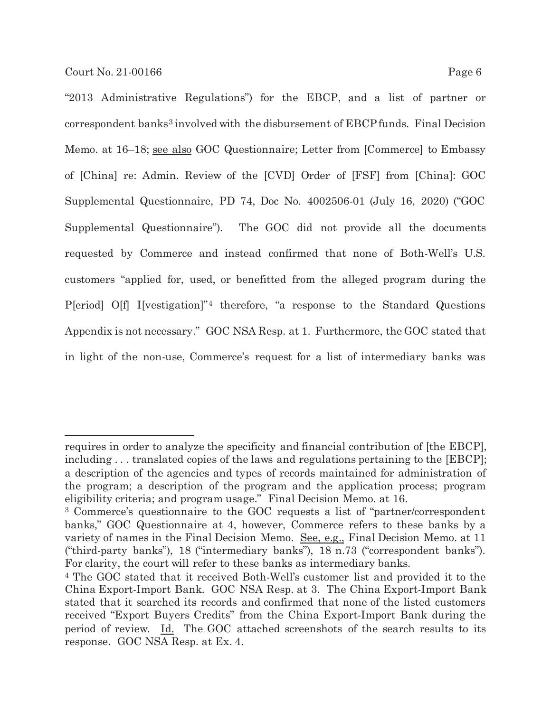"2013 Administrative Regulations") for the EBCP, and a list of partner or correspondent banks3 involved with the disbursement of EBCP funds. Final Decision Memo. at 16–18; see also GOC Questionnaire; Letter from [Commerce] to Embassy of [China] re: Admin. Review of the [CVD] Order of [FSF] from [China]: GOC Supplemental Questionnaire, PD 74, Doc No. 4002506-01 (July 16, 2020) ("GOC Supplemental Questionnaire"). The GOC did not provide all the documents requested by Commerce and instead confirmed that none of Both-Well's U.S. customers "applied for, used, or benefitted from the alleged program during the P[eriod] O[f] I[vestigation]"4 therefore, "a response to the Standard Questions Appendix is not necessary." GOC NSA Resp. at 1. Furthermore, the GOC stated that in light of the non-use, Commerce's request for a list of intermediary banks was

requires in order to analyze the specificity and financial contribution of [the EBCP], including ... translated copies of the laws and regulations pertaining to the [EBCP]; a description of the agencies and types of records maintained for administration of the program; a description of the program and the application process; program eligibility criteria; and program usage." Final Decision Memo. at 16.

<sup>3</sup> Commerce's questionnaire to the GOC requests a list of "partner/correspondent banks," GOC Questionnaire at 4, however, Commerce refers to these banks by a variety of names in the Final Decision Memo. See, e.g., Final Decision Memo. at 11 ("third-party banks"), 18 ("intermediary banks"), 18 n.73 ("correspondent banks"). For clarity, the court will refer to these banks as intermediary banks.

<sup>4</sup> The GOC stated that it received Both-Well's customer list and provided it to the China Export-Import Bank. GOC NSA Resp. at 3. The China Export-Import Bank stated that it searched its records and confirmed that none of the listed customers received "Export Buyers Credits" from the China Export-Import Bank during the period of review. Id. The GOC attached screenshots of the search results to its response. GOC NSA Resp. at Ex. 4.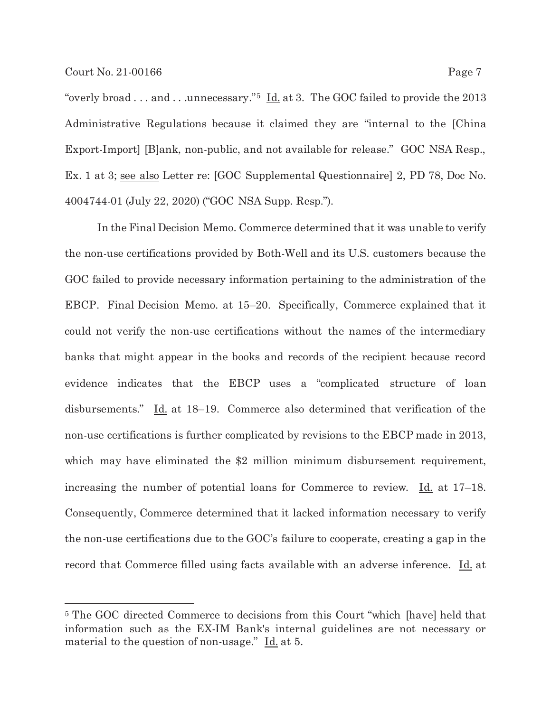"overly broad . . . and . . .unnecessary."<sup>5</sup> Id. at 3. The GOC failed to provide the 2013 Administrative Regulations because it claimed they are "internal to the [China Export-Import] [B]ank, non-public, and not available for release." GOC NSA Resp., Ex. 1 at 3; see also Letter re: [GOC Supplemental Questionnaire] 2, PD 78, Doc No. 4004744-01 (July 22, 2020) ("GOC NSA Supp. Resp.").

 In the Final Decision Memo. Commerce determined that it was unable to verify the non-use certifications provided by Both-Well and its U.S. customers because the GOC failed to provide necessary information pertaining to the administration of the EBCP. Final Decision Memo. at 15–20. Specifically, Commerce explained that it could not verify the non-use certifications without the names of the intermediary banks that might appear in the books and records of the recipient because record evidence indicates that the EBCP uses a "complicated structure of loan disbursements." Id. at 18–19. Commerce also determined that verification of the non-use certifications is further complicated by revisions to the EBCP made in 2013, which may have eliminated the \$2 million minimum disbursement requirement, increasing the number of potential loans for Commerce to review. Id. at 17–18. Consequently, Commerce determined that it lacked information necessary to verify the non-use certifications due to the GOC's failure to cooperate, creating a gap in the record that Commerce filled using facts available with an adverse inference. Id. at

<sup>5</sup> The GOC directed Commerce to decisions from this Court "which [have] held that information such as the EX-IM Bank's internal guidelines are not necessary or material to the question of non-usage."  $\underline{Id}$  at 5.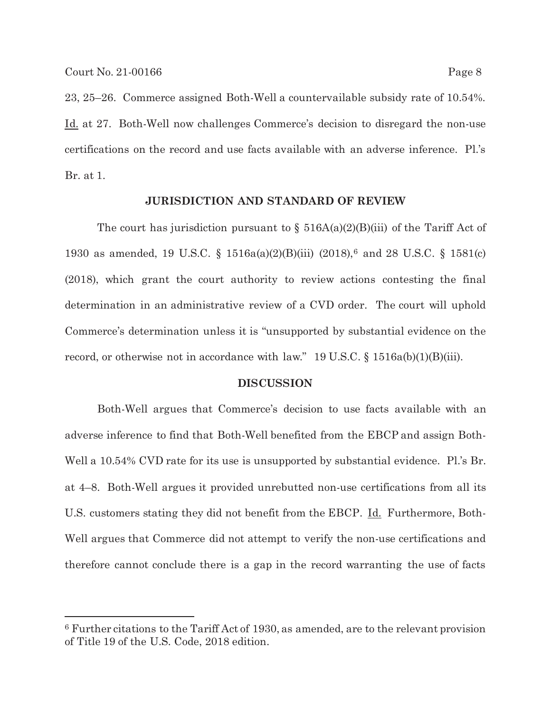23, 25–26. Commerce assigned Both-Well a countervailable subsidy rate of 10.54%. Id. at 27. Both-Well now challenges Commerce's decision to disregard the non-use certifications on the record and use facts available with an adverse inference. Pl.'s Br. at 1.

### **JURISDICTION AND STANDARD OF REVIEW**

The court has jurisdiction pursuant to  $\S$  516A(a)(2)(B)(iii) of the Tariff Act of 1930 as amended, 19 U.S.C. § 1516a(a)(2)(B)(iii) (2018),6 and 28 U.S.C. § 1581(c) (2018), which grant the court authority to review actions contesting the final determination in an administrative review of a CVD order. The court will uphold Commerce's determination unless it is "unsupported by substantial evidence on the record, or otherwise not in accordance with law." 19 U.S.C. § 1516a(b)(1)(B)(iii).

#### **DISCUSSION**

Both-Well argues that Commerce's decision to use facts available with an adverse inference to find that Both-Well benefited from the EBCP and assign Both-Well a 10.54% CVD rate for its use is unsupported by substantial evidence. Pl.'s Br. at 4–8. Both-Well argues it provided unrebutted non-use certifications from all its U.S. customers stating they did not benefit from the EBCP. Id. Furthermore, Both-Well argues that Commerce did not attempt to verify the non-use certifications and therefore cannot conclude there is a gap in the record warranting the use of facts

<sup>6</sup> Further citations to the Tariff Act of 1930, as amended, are to the relevant provision of Title 19 of the U.S. Code, 2018 edition.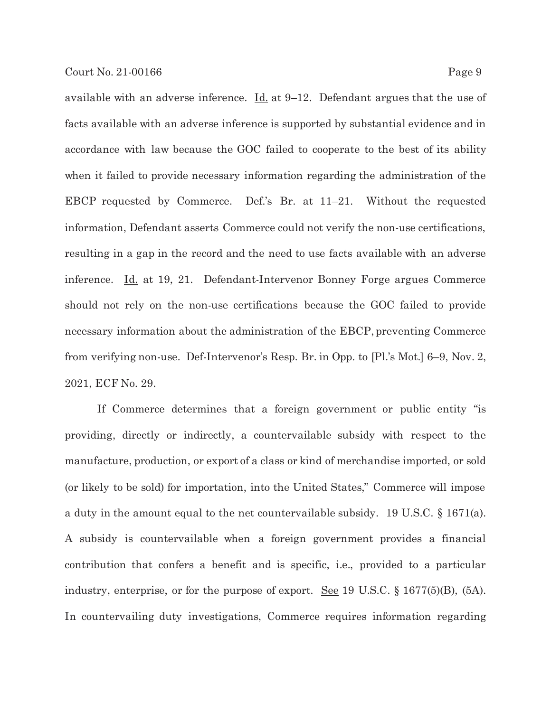available with an adverse inference.  $\underline{Id}$  at 9–12. Defendant argues that the use of facts available with an adverse inference is supported by substantial evidence and in accordance with law because the GOC failed to cooperate to the best of its ability when it failed to provide necessary information regarding the administration of the EBCP requested by Commerce. Def.'s Br. at 11–21. Without the requested information, Defendant asserts Commerce could not verify the non-use certifications, resulting in a gap in the record and the need to use facts available with an adverse inference. Id. at 19, 21. Defendant-Intervenor Bonney Forge argues Commerce should not rely on the non-use certifications because the GOC failed to provide necessary information about the administration of the EBCP, preventing Commerce from verifying non-use. Def-Intervenor's Resp. Br. in Opp. to [Pl.'s Mot.] 6–9, Nov. 2, 2021, ECF No. 29.

 If Commerce determines that a foreign government or public entity "is providing, directly or indirectly, a countervailable subsidy with respect to the manufacture, production, or export of a class or kind of merchandise imported, or sold (or likely to be sold) for importation, into the United States," Commerce will impose a duty in the amount equal to the net countervailable subsidy. 19 U.S.C. § 1671(a). A subsidy is countervailable when a foreign government provides a financial contribution that confers a benefit and is specific, i.e., provided to a particular industry, enterprise, or for the purpose of export. See 19 U.S.C. § 1677(5)(B), (5A). In countervailing duty investigations, Commerce requires information regarding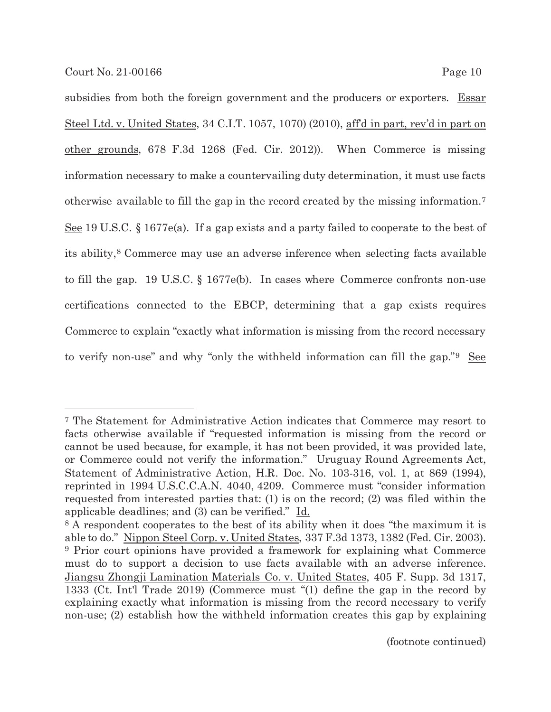subsidies from both the foreign government and the producers or exporters. Essar Steel Ltd. v. United States, 34 C.I.T. 1057, 1070) (2010), aff'd in part, rev'd in part on other grounds, 678 F.3d 1268 (Fed. Cir. 2012)). When Commerce is missing information necessary to make a countervailing duty determination, it must use facts otherwise available to fill the gap in the record created by the missing information.7 See 19 U.S.C. § 1677e(a). If a gap exists and a party failed to cooperate to the best of its ability,8 Commerce may use an adverse inference when selecting facts available to fill the gap. 19 U.S.C. § 1677e(b). In cases where Commerce confronts non-use certifications connected to the EBCP, determining that a gap exists requires Commerce to explain "exactly what information is missing from the record necessary to verify non-use" and why "only the withheld information can fill the gap."9 See

<sup>7</sup> The Statement for Administrative Action indicates that Commerce may resort to facts otherwise available if "requested information is missing from the record or cannot be used because, for example, it has not been provided, it was provided late, or Commerce could not verify the information." Uruguay Round Agreements Act, Statement of Administrative Action, H.R. Doc. No. 103-316, vol. 1, at 869 (1994), reprinted in 1994 U.S.C.C.A.N. 4040, 4209. Commerce must "consider information requested from interested parties that: (1) is on the record; (2) was filed within the applicable deadlines; and (3) can be verified." Id.

<sup>8</sup> A respondent cooperates to the best of its ability when it does "the maximum it is able to do." Nippon Steel Corp. v. United States, 337 F.3d 1373, 1382 (Fed. Cir. 2003). 9 Prior court opinions have provided a framework for explaining what Commerce must do to support a decision to use facts available with an adverse inference. Jiangsu Zhongji Lamination Materials Co. v. United States, 405 F. Supp. 3d 1317, 1333 (Ct. Int'l Trade 2019) (Commerce must "(1) define the gap in the record by explaining exactly what information is missing from the record necessary to verify non-use; (2) establish how the withheld information creates this gap by explaining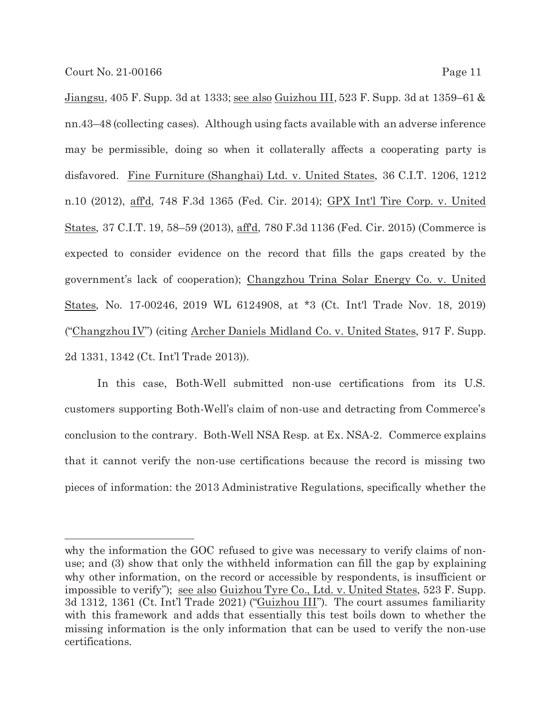Jiangsu, 405 F. Supp. 3d at 1333; see also Guizhou III, 523 F. Supp. 3d at 1359–61 & nn.43–48 (collecting cases). Although using facts available with an adverse inference may be permissible, doing so when it collaterally affects a cooperating party is disfavored. Fine Furniture (Shanghai) Ltd. v. United States, 36 C.I.T. 1206, 1212 n.10 (2012), aff'd, 748 F.3d 1365 (Fed. Cir. 2014); GPX Int'l Tire Corp. v. United States, 37 C.I.T. 19, 58–59 (2013), aff'd, 780 F.3d 1136 (Fed. Cir. 2015) (Commerce is expected to consider evidence on the record that fills the gaps created by the government's lack of cooperation); Changzhou Trina Solar Energy Co. v. United States, No. 17-00246, 2019 WL 6124908, at \*3 (Ct. Int'l Trade Nov. 18, 2019) ("Changzhou IV") (citing Archer Daniels Midland Co. v. United States, 917 F. Supp. 2d 1331, 1342 (Ct. Int'l Trade 2013)).

In this case, Both-Well submitted non-use certifications from its U.S. customers supporting Both-Well's claim of non-use and detracting from Commerce's conclusion to the contrary. Both-Well NSA Resp. at Ex. NSA-2. Commerce explains that it cannot verify the non-use certifications because the record is missing two pieces of information: the 2013 Administrative Regulations, specifically whether the

why the information the GOC refused to give was necessary to verify claims of nonuse; and (3) show that only the withheld information can fill the gap by explaining why other information, on the record or accessible by respondents, is insufficient or impossible to verify"); see also Guizhou Tyre Co., Ltd. v. United States, 523 F. Supp. 3d 1312, 1361 (Ct. Int'l Trade 2021) ("Guizhou III"). The court assumes familiarity with this framework and adds that essentially this test boils down to whether the missing information is the only information that can be used to verify the non-use certifications.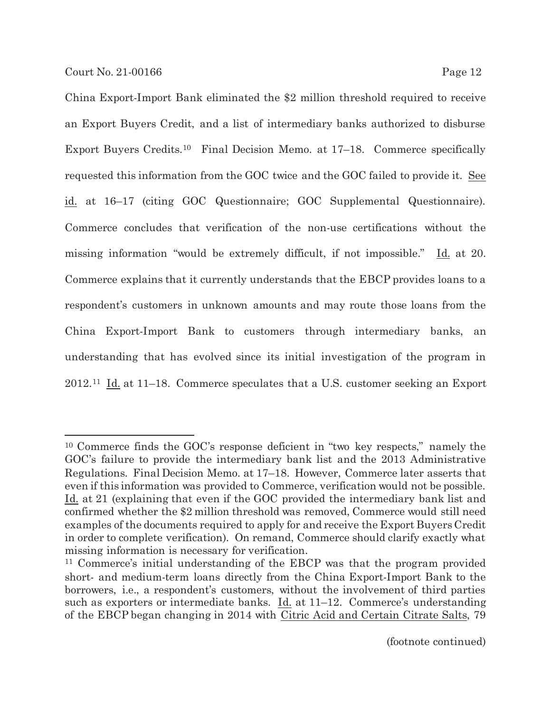China Export-Import Bank eliminated the \$2 million threshold required to receive an Export Buyers Credit, and a list of intermediary banks authorized to disburse Export Buyers Credits.10 Final Decision Memo. at 17–18. Commerce specifically requested this information from the GOC twice and the GOC failed to provide it. See id. at 16–17 (citing GOC Questionnaire; GOC Supplemental Questionnaire). Commerce concludes that verification of the non-use certifications without the missing information "would be extremely difficult, if not impossible." Id. at 20. Commerce explains that it currently understands that the EBCP provides loans to a respondent's customers in unknown amounts and may route those loans from the China Export-Import Bank to customers through intermediary banks, an understanding that has evolved since its initial investigation of the program in 2012.11 Id. at 11–18. Commerce speculates that a U.S. customer seeking an Export

<sup>10</sup> Commerce finds the GOC's response deficient in "two key respects," namely the GOC's failure to provide the intermediary bank list and the 2013 Administrative Regulations. Final Decision Memo. at 17–18. However, Commerce later asserts that even if this information was provided to Commerce, verification would not be possible. Id. at 21 (explaining that even if the GOC provided the intermediary bank list and confirmed whether the \$2 million threshold was removed, Commerce would still need examples of the documents required to apply for and receive the Export Buyers Credit in order to complete verification). On remand, Commerce should clarify exactly what missing information is necessary for verification.

<sup>11</sup> Commerce's initial understanding of the EBCP was that the program provided short- and medium-term loans directly from the China Export-Import Bank to the borrowers, i.e., a respondent's customers, without the involvement of third parties such as exporters or intermediate banks.  $\underline{Id}$  at 11–12. Commerce's understanding of the EBCP began changing in 2014 with Citric Acid and Certain Citrate Salts, 79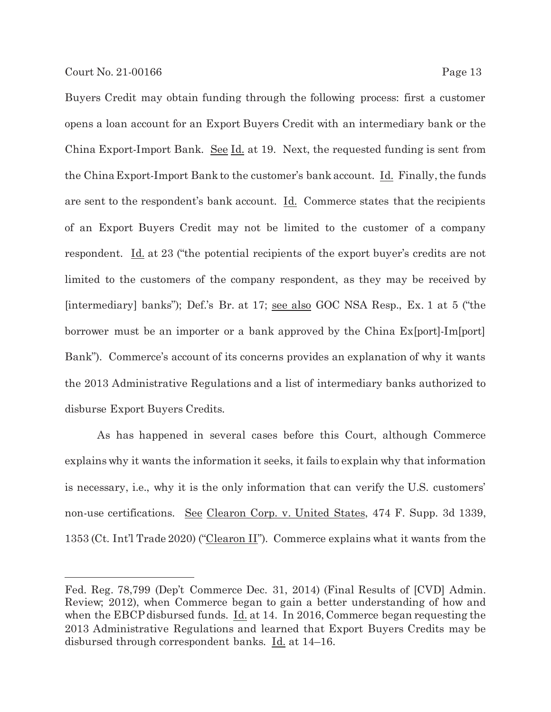Buyers Credit may obtain funding through the following process: first a customer opens a loan account for an Export Buyers Credit with an intermediary bank or the China Export-Import Bank. See Id. at 19. Next, the requested funding is sent from the China Export-Import Bank to the customer's bank account. Id. Finally, the funds are sent to the respondent's bank account. Id. Commerce states that the recipients of an Export Buyers Credit may not be limited to the customer of a company respondent. Id. at 23 ("the potential recipients of the export buyer's credits are not limited to the customers of the company respondent, as they may be received by [intermediary] banks"); Def.'s Br. at 17; see also GOC NSA Resp., Ex. 1 at 5 ("the borrower must be an importer or a bank approved by the China Ex[port]-Im[port] Bank"). Commerce's account of its concerns provides an explanation of why it wants the 2013 Administrative Regulations and a list of intermediary banks authorized to disburse Export Buyers Credits.

As has happened in several cases before this Court, although Commerce explains why it wants the information it seeks, it fails to explain why that information is necessary, i.e., why it is the only information that can verify the U.S. customers' non-use certifications. See Clearon Corp. v. United States, 474 F. Supp. 3d 1339, 1353 (Ct. Int'l Trade 2020) ("Clearon II"). Commerce explains what it wants from the

Fed. Reg. 78,799 (Dep't Commerce Dec. 31, 2014) (Final Results of [CVD] Admin. Review; 2012), when Commerce began to gain a better understanding of how and when the EBCP disbursed funds. Id. at 14. In 2016, Commerce began requesting the 2013 Administrative Regulations and learned that Export Buyers Credits may be disbursed through correspondent banks. Id. at 14–16.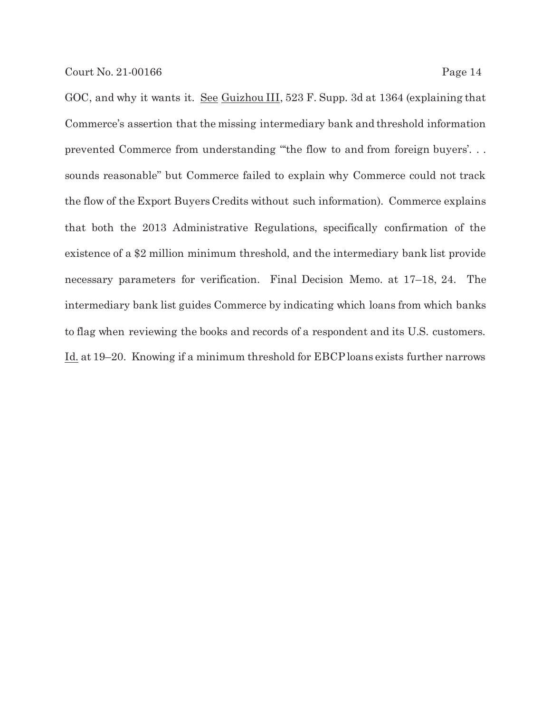GOC, and why it wants it. See Guizhou III, 523 F. Supp. 3d at 1364 (explaining that Commerce's assertion that the missing intermediary bank and threshold information prevented Commerce from understanding "'the flow to and from foreign buyers'. . . sounds reasonable" but Commerce failed to explain why Commerce could not track the flow of the Export Buyers Credits without such information). Commerce explains that both the 2013 Administrative Regulations, specifically confirmation of the existence of a \$2 million minimum threshold, and the intermediary bank list provide necessary parameters for verification. Final Decision Memo. at 17–18, 24. The intermediary bank list guides Commerce by indicating which loans from which banks to flag when reviewing the books and records of a respondent and its U.S. customers. Id. at 19–20. Knowing if a minimum threshold for EBCP loans exists further narrows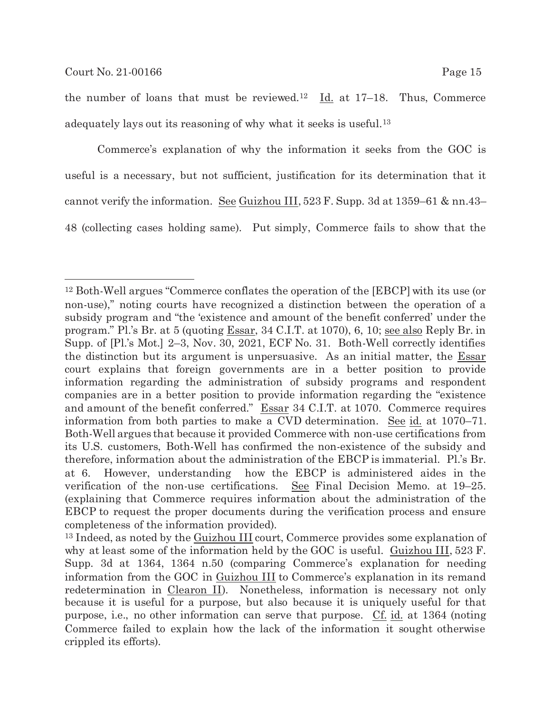the number of loans that must be reviewed.<sup>12</sup> Id. at  $17-18$ . Thus, Commerce adequately lays out its reasoning of why what it seeks is useful.<sup>13</sup>

Commerce's explanation of why the information it seeks from the GOC is useful is a necessary, but not sufficient, justification for its determination that it cannot verify the information. See Guizhou III,  $523$  F. Supp. 3d at  $1359-61$  & nn.43– 48 (collecting cases holding same). Put simply, Commerce fails to show that the

<sup>12</sup> Both-Well argues "Commerce conflates the operation of the [EBCP] with its use (or non-use),'' noting courts have recognized a distinction between the operation of a subsidy program and "the 'existence and amount of the benefit conferred' under the program." Pl.'s Br. at 5 (quoting Essar, 34 C.I.T. at 1070), 6, 10; see also Reply Br. in Supp. of [Pl.'s Mot.] 2–3, Nov. 30, 2021, ECF No. 31. Both-Well correctly identifies the distinction but its argument is unpersuasive. As an initial matter, the Essar court explains that foreign governments are in a better position to provide information regarding the administration of subsidy programs and respondent companies are in a better position to provide information regarding the "existence and amount of the benefit conferred." Essar 34 C.I.T. at 1070. Commerce requires information from both parties to make a CVD determination. See id. at 1070–71. Both-Well argues that because it provided Commerce with non-use certifications from its U.S. customers, Both-Well has confirmed the non-existence of the subsidy and therefore, information about the administration of the EBCP is immaterial. Pl.'s Br. at 6. However, understanding how the EBCP is administered aides in the verification of the non-use certifications. See Final Decision Memo. at 19–25. (explaining that Commerce requires information about the administration of the EBCP to request the proper documents during the verification process and ensure completeness of the information provided).

<sup>13</sup> Indeed, as noted by the Guizhou III court, Commerce provides some explanation of why at least some of the information held by the GOC is useful. Guizhou III, 523 F. Supp. 3d at 1364, 1364 n.50 (comparing Commerce's explanation for needing information from the GOC in Guizhou III to Commerce's explanation in its remand redetermination in Clearon II). Nonetheless, information is necessary not only because it is useful for a purpose, but also because it is uniquely useful for that purpose, i.e., no other information can serve that purpose. Cf. id. at 1364 (noting Commerce failed to explain how the lack of the information it sought otherwise crippled its efforts).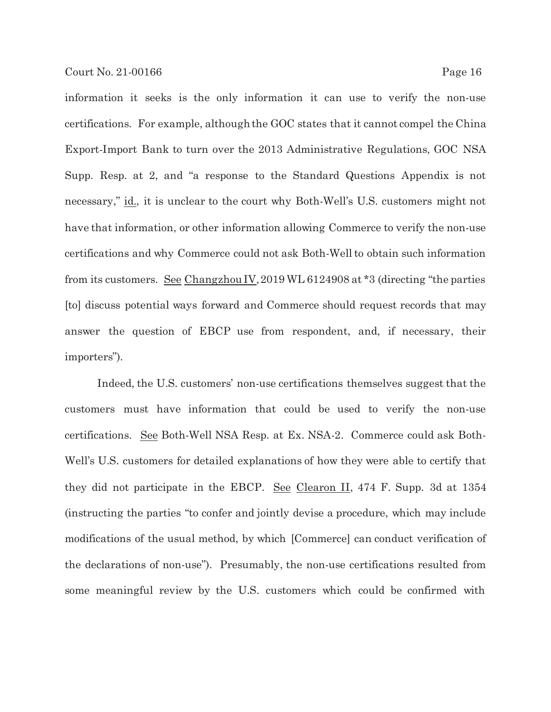information it seeks is the only information it can use to verify the non-use certifications. For example, although the GOC states that it cannot compel the China Export-Import Bank to turn over the 2013 Administrative Regulations, GOC NSA Supp. Resp. at 2, and "a response to the Standard Questions Appendix is not necessary," id., it is unclear to the court why Both-Well's U.S. customers might not have that information, or other information allowing Commerce to verify the non-use certifications and why Commerce could not ask Both-Well to obtain such information from its customers. See Changzhou IV, 2019 WL 6124908 at \*3 (directing "the parties [to] discuss potential ways forward and Commerce should request records that may

answer the question of EBCP use from respondent, and, if necessary, their importers").

Indeed, the U.S. customers' non-use certifications themselves suggest that the customers must have information that could be used to verify the non-use certifications. See Both-Well NSA Resp. at Ex. NSA-2. Commerce could ask Both-Well's U.S. customers for detailed explanations of how they were able to certify that they did not participate in the EBCP. See Clearon II, 474 F. Supp. 3d at 1354 (instructing the parties "to confer and jointly devise a procedure, which may include modifications of the usual method, by which [Commerce] can conduct verification of the declarations of non-use"). Presumably, the non-use certifications resulted from some meaningful review by the U.S. customers which could be confirmed with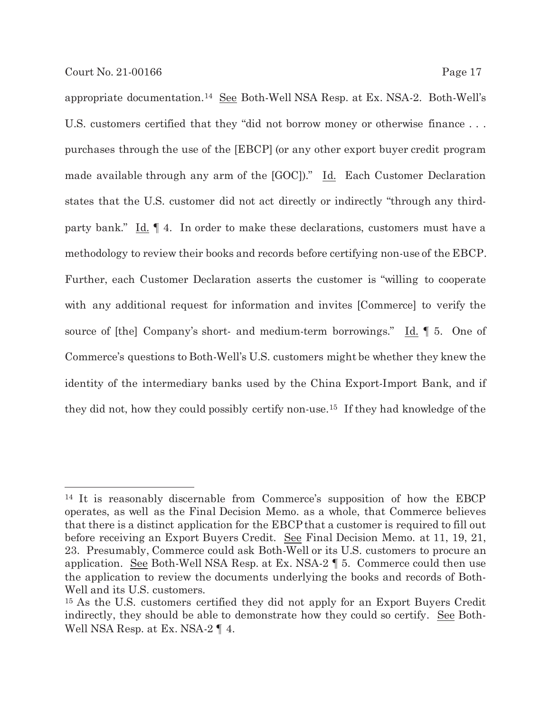appropriate documentation.14 See Both-Well NSA Resp. at Ex. NSA-2. Both-Well's U.S. customers certified that they "did not borrow money or otherwise finance . . . purchases through the use of the [EBCP] (or any other export buyer credit program made available through any arm of the  $[GOC]$ ." Id. Each Customer Declaration states that the U.S. customer did not act directly or indirectly "through any thirdparty bank." Id. ¶ 4. In order to make these declarations, customers must have a methodology to review their books and records before certifying non-use of the EBCP. Further, each Customer Declaration asserts the customer is "willing to cooperate with any additional request for information and invites [Commerce] to verify the source of [the] Company's short- and medium-term borrowings." Id. ¶ 5. One of Commerce's questions to Both-Well's U.S. customers might be whether they knew the identity of the intermediary banks used by the China Export-Import Bank, and if they did not, how they could possibly certify non-use.15 If they had knowledge of the

<sup>14</sup> It is reasonably discernable from Commerce's supposition of how the EBCP operates, as well as the Final Decision Memo. as a whole, that Commerce believes that there is a distinct application for the EBCP that a customer is required to fill out before receiving an Export Buyers Credit. See Final Decision Memo. at 11, 19, 21, 23. Presumably, Commerce could ask Both-Well or its U.S. customers to procure an application. See Both-Well NSA Resp. at Ex. NSA-2 ¶ 5. Commerce could then use the application to review the documents underlying the books and records of Both-Well and its U.S. customers.

<sup>15</sup> As the U.S. customers certified they did not apply for an Export Buyers Credit indirectly, they should be able to demonstrate how they could so certify. See Both-Well NSA Resp. at Ex. NSA-2 ¶ 4.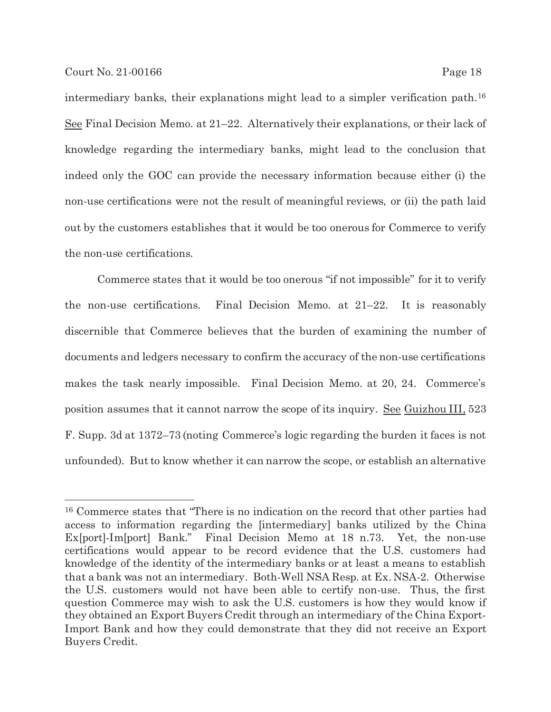intermediary banks, their explanations might lead to a simpler verification path.16 See Final Decision Memo. at 21–22. Alternatively their explanations, or their lack of knowledge regarding the intermediary banks, might lead to the conclusion that indeed only the GOC can provide the necessary information because either (i) the non-use certifications were not the result of meaningful reviews, or (ii) the path laid out by the customers establishes that it would be too onerous for Commerce to verify the non-use certifications.

Commerce states that it would be too onerous "if not impossible" for it to verify the non-use certifications. Final Decision Memo. at 21–22. It is reasonably discernible that Commerce believes that the burden of examining the number of documents and ledgers necessary to confirm the accuracy of the non-use certifications makes the task nearly impossible. Final Decision Memo. at 20, 24. Commerce's position assumes that it cannot narrow the scope of its inquiry. See Guizhou III, 523 F. Supp. 3d at 1372–73 (noting Commerce's logic regarding the burden it faces is not unfounded). But to know whether it can narrow the scope, or establish an alternative

<sup>16</sup> Commerce states that "There is no indication on the record that other parties had access to information regarding the [intermediary] banks utilized by the China Ex[port]-Im[port] Bank." Final Decision Memo at 18 n.73. Yet, the non-use certifications would appear to be record evidence that the U.S. customers had knowledge of the identity of the intermediary banks or at least a means to establish that a bank was not an intermediary. Both-Well NSA Resp. at Ex. NSA-2. Otherwise the U.S. customers would not have been able to certify non-use. Thus, the first question Commerce may wish to ask the U.S. customers is how they would know if they obtained an Export Buyers Credit through an intermediary of the China Export-Import Bank and how they could demonstrate that they did not receive an Export Buyers Credit.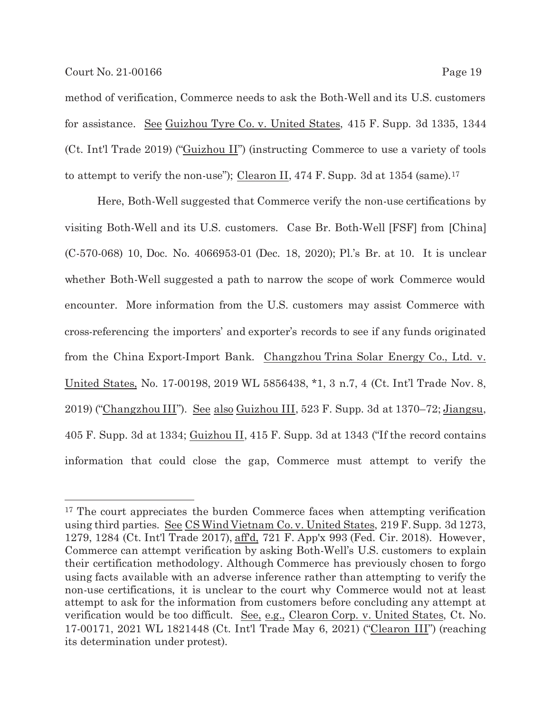method of verification, Commerce needs to ask the Both-Well and its U.S. customers for assistance. See Guizhou Tyre Co. v. United States, 415 F. Supp. 3d 1335, 1344 (Ct. Int'l Trade 2019) ("Guizhou II") (instructing Commerce to use a variety of tools to attempt to verify the non-use"); Clearon II, 474 F. Supp. 3d at 1354 (same).<sup>17</sup>

Here, Both-Well suggested that Commerce verify the non-use certifications by visiting Both-Well and its U.S. customers. Case Br. Both-Well [FSF] from [China] (C-570-068) 10, Doc. No. 4066953-01 (Dec. 18, 2020); Pl.'s Br. at 10. It is unclear whether Both-Well suggested a path to narrow the scope of work Commerce would encounter. More information from the U.S. customers may assist Commerce with cross-referencing the importers' and exporter's records to see if any funds originated from the China Export-Import Bank. Changzhou Trina Solar Energy Co., Ltd. v. United States, No. 17-00198, 2019 WL 5856438, \*1, 3 n.7, 4 (Ct. Int'l Trade Nov. 8, 2019) ("Changzhou III"). See also Guizhou III, 523 F. Supp. 3d at 1370–72; Jiangsu, 405 F. Supp. 3d at 1334; Guizhou II, 415 F. Supp. 3d at 1343 ("If the record contains information that could close the gap, Commerce must attempt to verify the

<sup>&</sup>lt;sup>17</sup> The court appreciates the burden Commerce faces when attempting verification using third parties. See CS Wind Vietnam Co. v. United States, 219 F. Supp. 3d 1273, 1279, 1284 (Ct. Int'l Trade 2017), aff'd, 721 F. App'x 993 (Fed. Cir. 2018). However, Commerce can attempt verification by asking Both-Well's U.S. customers to explain their certification methodology. Although Commerce has previously chosen to forgo using facts available with an adverse inference rather than attempting to verify the non-use certifications, it is unclear to the court why Commerce would not at least attempt to ask for the information from customers before concluding any attempt at verification would be too difficult. See, e.g., Clearon Corp. v. United States, Ct. No. 17-00171, 2021 WL 1821448 (Ct. Int'l Trade May 6, 2021) ("Clearon III") (reaching its determination under protest).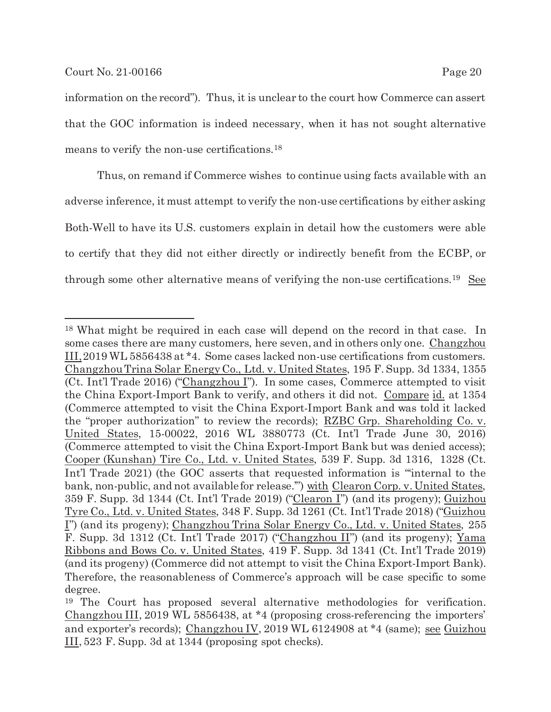information on the record"). Thus, it is unclear to the court how Commerce can assert that the GOC information is indeed necessary, when it has not sought alternative means to verify the non-use certifications.18

Thus, on remand if Commerce wishes to continue using facts available with an adverse inference, it must attempt to verify the non-use certifications by either asking Both-Well to have its U.S. customers explain in detail how the customers were able to certify that they did not either directly or indirectly benefit from the ECBP, or through some other alternative means of verifying the non-use certifications.19 See

<sup>18</sup> What might be required in each case will depend on the record in that case. In some cases there are many customers, here seven, and in others only one. Changzhou III, 2019 WL 5856438 at \*4. Some cases lacked non-use certifications from customers. Changzhou Trina Solar Energy Co., Ltd. v. United States, 195 F. Supp. 3d 1334, 1355 (Ct. Int'l Trade 2016) ("Changzhou I"). In some cases, Commerce attempted to visit the China Export-Import Bank to verify, and others it did not. Compare id. at 1354 (Commerce attempted to visit the China Export-Import Bank and was told it lacked the "proper authorization" to review the records); RZBC Grp. Shareholding Co. v. United States, 15-00022, 2016 WL 3880773 (Ct. Int'l Trade June 30, 2016) (Commerce attempted to visit the China Export-Import Bank but was denied access); Cooper (Kunshan) Tire Co., Ltd. v. United States, 539 F. Supp. 3d 1316, 1328 (Ct. Int'l Trade 2021) (the GOC asserts that requested information is "'internal to the bank, non-public, and not available for release.'") with Clearon Corp. v. United States, 359 F. Supp. 3d 1344 (Ct. Int'l Trade 2019) ("Clearon I") (and its progeny); Guizhou Tyre Co., Ltd. v. United States, 348 F. Supp. 3d 1261 (Ct. Int'l Trade 2018) ("Guizhou I") (and its progeny); Changzhou Trina Solar Energy Co., Ltd. v. United States, 255 F. Supp. 3d 1312 (Ct. Int'l Trade 2017) ("Changzhou II") (and its progeny); Yama Ribbons and Bows Co. v. United States, 419 F. Supp. 3d 1341 (Ct. Int'l Trade 2019) (and its progeny) (Commerce did not attempt to visit the China Export-Import Bank). Therefore, the reasonableness of Commerce's approach will be case specific to some degree.

<sup>19</sup> The Court has proposed several alternative methodologies for verification. Changzhou III, 2019 WL 5856438, at \*4 (proposing cross-referencing the importers' and exporter's records); Changzhou IV, 2019 WL 6124908 at \*4 (same); see Guizhou III, 523 F. Supp. 3d at 1344 (proposing spot checks).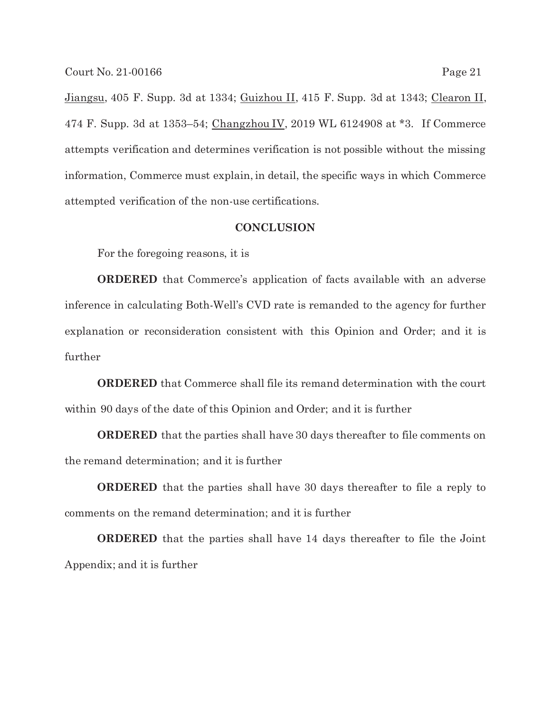Jiangsu, 405 F. Supp. 3d at 1334; Guizhou II, 415 F. Supp. 3d at 1343; Clearon II, 474 F. Supp. 3d at 1353–54; Changzhou IV, 2019 WL 6124908 at \*3. If Commerce attempts verification and determines verification is not possible without the missing information, Commerce must explain, in detail, the specific ways in which Commerce attempted verification of the non-use certifications.

### **CONCLUSION**

For the foregoing reasons, it is

**ORDERED** that Commerce's application of facts available with an adverse inference in calculating Both-Well's CVD rate is remanded to the agency for further explanation or reconsideration consistent with this Opinion and Order; and it is further

**ORDERED** that Commerce shall file its remand determination with the court within 90 days of the date of this Opinion and Order; and it is further

**ORDERED** that the parties shall have 30 days thereafter to file comments on the remand determination; and it is further

**ORDERED** that the parties shall have 30 days thereafter to file a reply to comments on the remand determination; and it is further

**ORDERED** that the parties shall have 14 days thereafter to file the Joint Appendix; and it is further